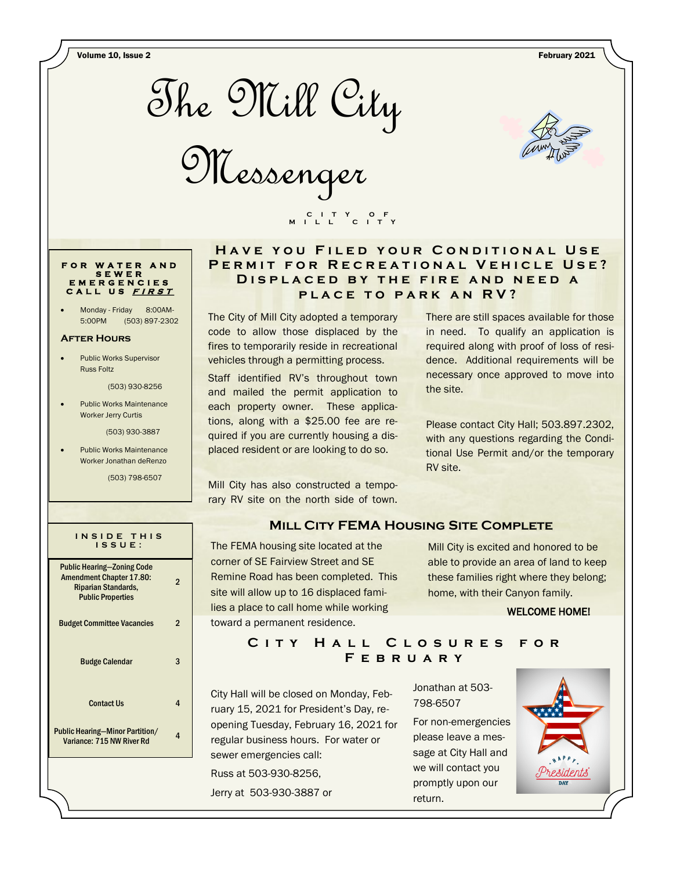Volume 10, Issue 2 February 2021



Messenger



#### **F O R W A T E R A N D S E W E R E M E R G E N C I E S C A L L U S <sup>F</sup> <sup>I</sup> <sup>R</sup> <sup>S</sup> <sup>T</sup>**

Monday - Friday 8:00AM-5:00PM (503) 897-2302

#### **After Hours**

 Public Works Supervisor Russ Foltz

(503) 930-8256

 Public Works Maintenance Worker Jerry Curtis

(503) 930-3887

 Public Works Maintenance Worker Jonathan deRenzo

(503) 798-6507

| INSIDE THIS<br>$IS$ SUE:                                                                                                       |   |
|--------------------------------------------------------------------------------------------------------------------------------|---|
| <b>Public Hearing-Zoning Code</b><br><b>Amendment Chapter 17.80:</b><br><b>Riparian Standards,</b><br><b>Public Properties</b> | 2 |
| <b>Budget Committee Vacancies</b>                                                                                              | 2 |
| <b>Budge Calendar</b>                                                                                                          | 3 |
| <b>Contact Us</b>                                                                                                              | 4 |
| <b>Public Hearing-Minor Partition/</b><br>Variance: 715 NW River Rd                                                            | Δ |
|                                                                                                                                |   |

# **HAVE YOU FILED YOUR CONDITIONAL USE** PERMIT FOR RECREATIONAL VEHICLE USE? DISPLACED BY THE FIRE AND NEED A **PLACE TO PARK AN RV?**

The City of Mill City adopted a temporary code to allow those displaced by the fires to temporarily reside in recreational vehicles through a permitting process.

 **C I T Y O F M I L L C I T Y**

Staff identified RV's throughout town and mailed the permit application to each property owner. These applications, along with a \$25.00 fee are required if you are currently housing a displaced resident or are looking to do so.

Mill City has also constructed a temporary RV site on the north side of town. There are still spaces available for those in need. To qualify an application is required along with proof of loss of residence. Additional requirements will be necessary once approved to move into the site.

Please contact City Hall; 503.897.2302, with any questions regarding the Conditional Use Permit and/or the temporary RV site.

### **Mill City FEMA Housing Site Complete**

The FEMA housing site located at the corner of SE Fairview Street and SE Remine Road has been completed. This site will allow up to 16 displaced families a place to call home while working toward a permanent residence.

Mill City is excited and honored to be able to provide an area of land to keep these families right where they belong; home, with their Canyon family.

#### WELCOME HOME!

# CITY HALL CLOSURES FOR **F e b r u a r y**

City Hall will be closed on Monday, February 15, 2021 for President's Day, reopening Tuesday, February 16, 2021 for regular business hours. For water or sewer emergencies call: Russ at 503-930-8256,

Jerry at 503-930-3887 or

Jonathan at 503- 798-6507

For non-emergencies please leave a message at City Hall and we will contact you promptly upon our return.

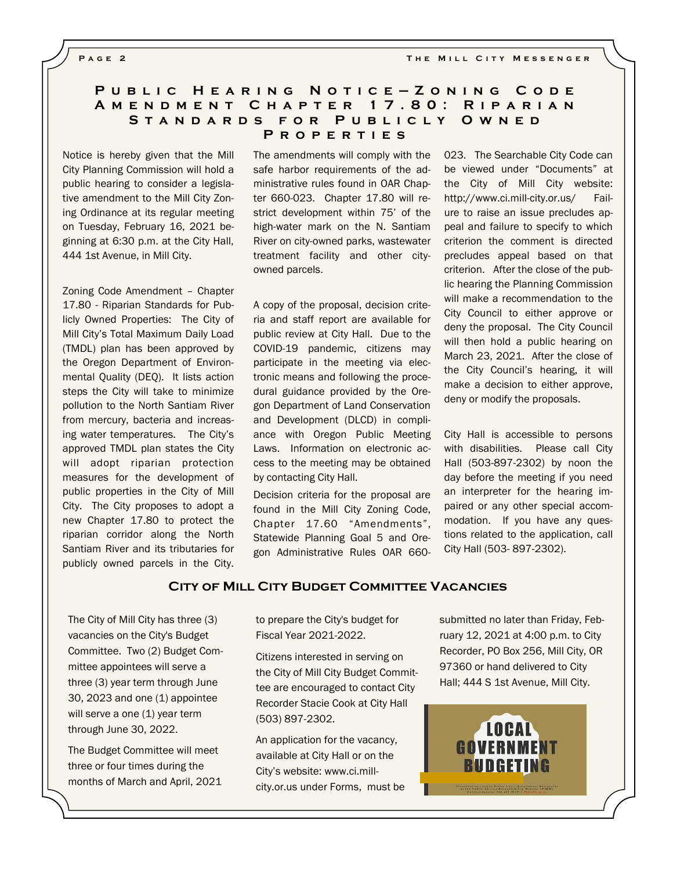**PAGE 2 THE MILL CITY MESSENGER** 

### **P u b l i c H e a r i n g N o t i c e — Z o n i n g C o d e A m e n d m e n t C h a p t e r 1 7 . 8 0 : R i p a r i a n**  STANDARDS FOR PUBLICLY OWNED **P r o p e r t i e s**

Notice is hereby given that the Mill City Planning Commission will hold a public hearing to consider a legislative amendment to the Mill City Zoning Ordinance at its regular meeting on Tuesday, February 16, 2021 beginning at 6:30 p.m. at the City Hall, 444 1st Avenue, in Mill City.

Zoning Code Amendment – Chapter 17.80 - Riparian Standards for Publicly Owned Properties: The City of Mill City's Total Maximum Daily Load (TMDL) plan has been approved by the Oregon Department of Environmental Quality (DEQ). It lists action steps the City will take to minimize pollution to the North Santiam River from mercury, bacteria and increasing water temperatures. The City's approved TMDL plan states the City will adopt riparian protection measures for the development of public properties in the City of Mill City. The City proposes to adopt a new Chapter 17.80 to protect the riparian corridor along the North Santiam River and its tributaries for publicly owned parcels in the City.

The amendments will comply with the safe harbor requirements of the administrative rules found in OAR Chapter 660-023. Chapter 17.80 will restrict development within 75' of the high-water mark on the N. Santiam River on city-owned parks, wastewater treatment facility and other cityowned parcels.

A copy of the proposal, decision criteria and staff report are available for public review at City Hall. Due to the COVID-19 pandemic, citizens may participate in the meeting via electronic means and following the procedural guidance provided by the Oregon Department of Land Conservation and Development (DLCD) in compliance with Oregon Public Meeting Laws. Information on electronic access to the meeting may be obtained by contacting City Hall.

Decision criteria for the proposal are found in the Mill City Zoning Code, Chapter 17.60 "Amendments", Statewide Planning Goal 5 and Oregon Administrative Rules OAR 660023. The Searchable City Code can be viewed under "Documents" at the City of Mill City website: http://www.ci.mill-city.or.us/ Failure to raise an issue precludes appeal and failure to specify to which criterion the comment is directed precludes appeal based on that criterion. After the close of the public hearing the Planning Commission will make a recommendation to the City Council to either approve or deny the proposal. The City Council will then hold a public hearing on March 23, 2021. After the close of the City Council's hearing, it will make a decision to either approve, deny or modify the proposals.

City Hall is accessible to persons with disabilities. Please call City Hall (503-897-2302) by noon the day before the meeting if you need an interpreter for the hearing impaired or any other special accommodation. If you have any questions related to the application, call City Hall (503- 897-2302).

#### **City of Mill City Budget Committee Vacancies**

The City of Mill City has three (3) vacancies on the City's Budget Committee. Two (2) Budget Committee appointees will serve a three (3) year term through June 30, 2023 and one (1) appointee will serve a one (1) year term through June 30, 2022.

The Budget Committee will meet three or four times during the months of March and April, 2021 to prepare the City's budget for Fiscal Year 2021-2022.

Citizens interested in serving on the City of Mill City Budget Committee are encouraged to contact City Recorder Stacie Cook at City Hall (503) 897-2302.

An application for the vacancy, available at City Hall or on the City's website: www.ci.millcity.or.us under Forms, must be submitted no later than Friday, February 12, 2021 at 4:00 p.m. to City Recorder, PO Box 256, Mill City, OR 97360 or hand delivered to City Hall; 444 S 1st Avenue, Mill City.

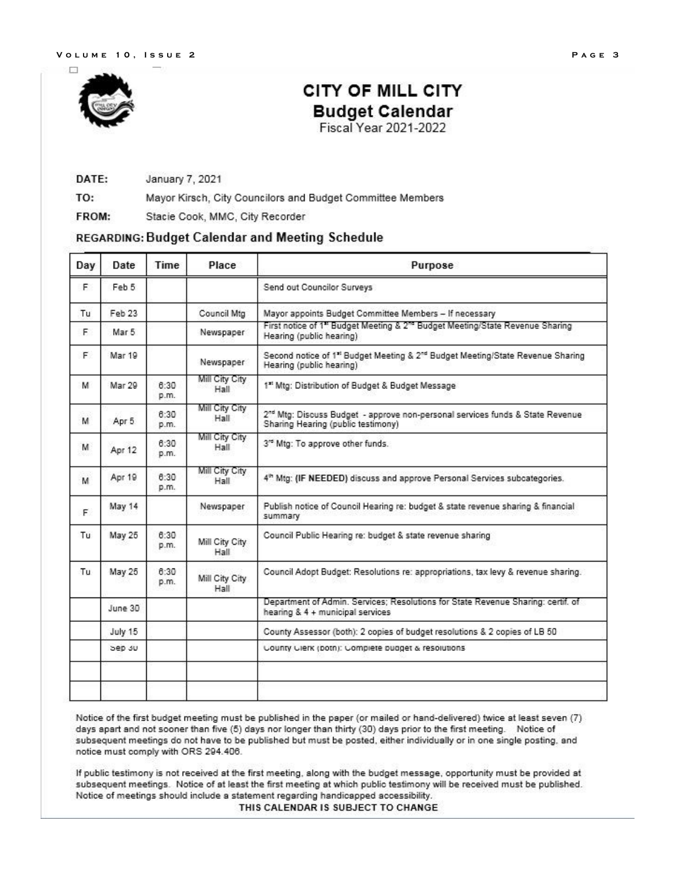

# **CITY OF MILL CITY Budget Calendar** Fiscal Year 2021-2022

#### DATE: January 7, 2021

TO: Mayor Kirsch, City Councilors and Budget Committee Members

FROM: Stacie Cook, MMC, City Recorder

# REGARDING: Budget Calendar and Meeting Schedule

| Day | Date    | Time         | Place                  | Purpose                                                                                                                            |  |
|-----|---------|--------------|------------------------|------------------------------------------------------------------------------------------------------------------------------------|--|
| F.  | Feb 5   |              |                        | Send out Councilor Surveys                                                                                                         |  |
| Tu  | Feb 23  |              | Council Mtg            | Mayor appoints Budget Committee Members - If necessary                                                                             |  |
| Е   | Mar 5   |              | Newspaper              | First notice of 1" Budget Meeting & 2" Budget Meeting/State Revenue Sharing<br>Hearing (public hearing)                            |  |
| F.  | Mar 19  |              | Newspaper              | Second notice of 1 <sup>st</sup> Budget Meeting & 2 <sup>nd</sup> Budget Meeting/State Revenue Sharing<br>Hearing (public hearing) |  |
| м   | Mar 29  | 8:30<br>p.m. | Mill City City<br>Hall | 1" Mtg: Distribution of Budget & Budget Message                                                                                    |  |
| м   | Apr 5   | 8:30<br>p.m. | Mill City City<br>Hall | 2 <sup>rd</sup> Mtg: Discuss Budget - approve non-personal services funds & State Revenue<br>Sharing Hearing (public testimony)    |  |
| M   | Apr 12  | 6:30<br>p.m. | Mill City City<br>Hall | 3 <sup>rd</sup> Mtg: To approve other funds.                                                                                       |  |
| M   | Apr 19  | 8:30<br>p.m. | Mill City City<br>Hall | 4th Mtg: (IF NEEDED) discuss and approve Personal Services subcategories.                                                          |  |
| F.  | May 14  |              | Newspaper              | Publish notice of Council Hearing re: budget & state revenue sharing & financial<br>summary                                        |  |
| Tu  | May 25  | 8:30<br>p.m. | Mill City City<br>Hall | Council Public Hearing re: budget & state revenue sharing                                                                          |  |
| Tu  | May 25  | 8:30<br>p.m. | Mill City City<br>Hall | Council Adopt Budget: Resolutions re: appropriations, tax levy & revenue sharing.                                                  |  |
|     | June 30 |              |                        | Department of Admin. Services; Resolutions for State Revenue Sharing: certif. of<br>hearing & 4 + municipal services               |  |
|     | July 15 |              |                        | County Assessor (both): 2 copies of budget resolutions & 2 copies of LB 50                                                         |  |
|     | Sep 30  |              |                        | County Clerk (poth): Complete pudget & resolutions                                                                                 |  |
|     |         |              |                        |                                                                                                                                    |  |
|     |         |              |                        |                                                                                                                                    |  |

Notice of the first budget meeting must be published in the paper (or mailed or hand-delivered) twice at least seven (7) days apart and not sooner than five (5) days nor longer than thirty (30) days prior to the first meeting. Notice of subsequent meetings do not have to be published but must be posted, either individually or in one single posting, and notice must comply with ORS 294.406.

If public testimony is not received at the first meeting, along with the budget message, opportunity must be provided at subsequent meetings. Notice of at least the first meeting at which public testimony will be received must be published. Notice of meetings should include a statement regarding handicapped accessibility.

THIS CALENDAR IS SUBJECT TO CHANGE